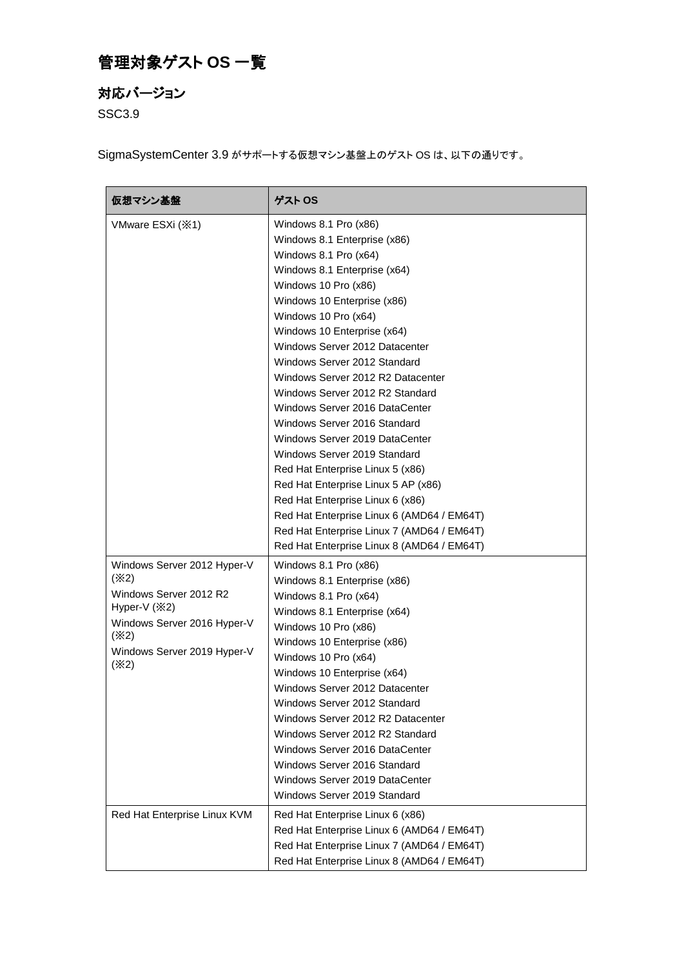## 管理対象ゲスト **OS** 一覧

## 対応バージョン

SSC3.9

SigmaSystemCenter 3.9 がサポートする仮想マシン基盤上のゲスト OS は、以下の通りです。

| 仮想マシン基盤                                                                                                                                                       | ゲスト OS                                                                                                                                                                                                                                                                                                                                                                                                                                                                                                                                                                                                                                                                                                                                                              |
|---------------------------------------------------------------------------------------------------------------------------------------------------------------|---------------------------------------------------------------------------------------------------------------------------------------------------------------------------------------------------------------------------------------------------------------------------------------------------------------------------------------------------------------------------------------------------------------------------------------------------------------------------------------------------------------------------------------------------------------------------------------------------------------------------------------------------------------------------------------------------------------------------------------------------------------------|
| VMware ESXi (※1)                                                                                                                                              | Windows 8.1 Pro (x86)<br>Windows 8.1 Enterprise (x86)<br>Windows 8.1 Pro (x64)<br>Windows 8.1 Enterprise (x64)<br>Windows 10 Pro (x86)<br>Windows 10 Enterprise (x86)<br>Windows 10 Pro (x64)<br>Windows 10 Enterprise (x64)<br>Windows Server 2012 Datacenter<br>Windows Server 2012 Standard<br>Windows Server 2012 R2 Datacenter<br>Windows Server 2012 R2 Standard<br>Windows Server 2016 DataCenter<br>Windows Server 2016 Standard<br>Windows Server 2019 DataCenter<br>Windows Server 2019 Standard<br>Red Hat Enterprise Linux 5 (x86)<br>Red Hat Enterprise Linux 5 AP (x86)<br>Red Hat Enterprise Linux 6 (x86)<br>Red Hat Enterprise Linux 6 (AMD64 / EM64T)<br>Red Hat Enterprise Linux 7 (AMD64 / EM64T)<br>Red Hat Enterprise Linux 8 (AMD64 / EM64T) |
| Windows Server 2012 Hyper-V<br>(X2)<br>Windows Server 2012 R2<br>Hyper-V $(X2)$<br>Windows Server 2016 Hyper-V<br>(X2)<br>Windows Server 2019 Hyper-V<br>(X2) | Windows 8.1 Pro (x86)<br>Windows 8.1 Enterprise (x86)<br>Windows 8.1 Pro (x64)<br>Windows 8.1 Enterprise (x64)<br>Windows 10 Pro (x86)<br>Windows 10 Enterprise (x86)<br>Windows 10 Pro (x64)<br>Windows 10 Enterprise (x64)<br>Windows Server 2012 Datacenter<br>Windows Server 2012 Standard<br>Windows Server 2012 R2 Datacenter<br>Windows Server 2012 R2 Standard<br>Windows Server 2016 DataCenter<br>Windows Server 2016 Standard<br>Windows Server 2019 DataCenter<br>Windows Server 2019 Standard                                                                                                                                                                                                                                                          |
| Red Hat Enterprise Linux KVM                                                                                                                                  | Red Hat Enterprise Linux 6 (x86)<br>Red Hat Enterprise Linux 6 (AMD64 / EM64T)<br>Red Hat Enterprise Linux 7 (AMD64 / EM64T)<br>Red Hat Enterprise Linux 8 (AMD64 / EM64T)                                                                                                                                                                                                                                                                                                                                                                                                                                                                                                                                                                                          |